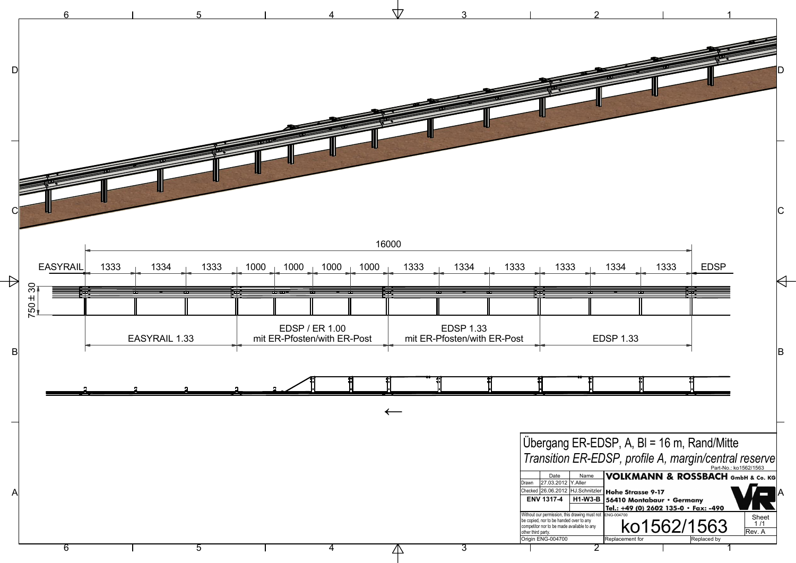